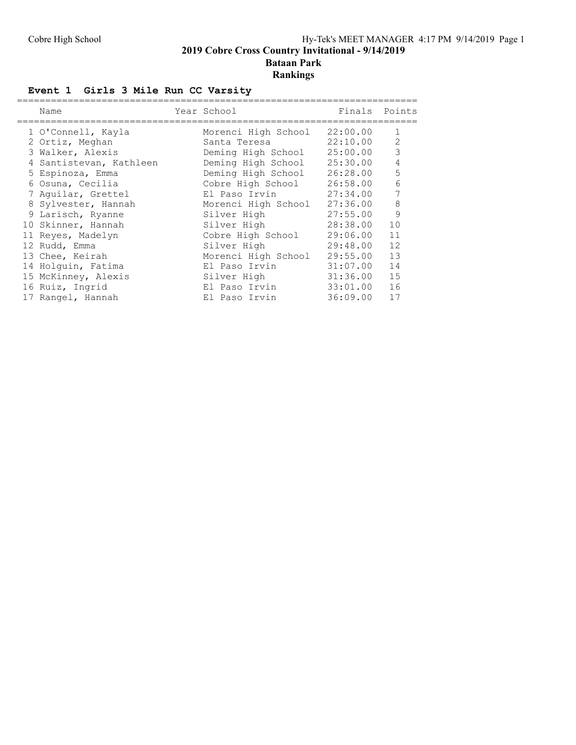### Cobre High School **Hy-Tek's MEET MANAGER** 4:17 PM 9/14/2019 Page 1 **2019 Cobre Cross Country Invitational - 9/14/2019 Bataan Park Rankings**

## **Event 1 Girls 3 Mile Run CC Varsity**

| Name                    | Year School         | Finals   | Points |
|-------------------------|---------------------|----------|--------|
| 1 O'Connell, Kayla      | Morenci High School | 22:00.00 | 1      |
| 2 Ortiz, Meghan         | Santa Teresa        | 22:10.00 | 2      |
| 3 Walker, Alexis        | Deming High School  | 25:00.00 | 3      |
| 4 Santistevan, Kathleen | Deming High School  | 25:30.00 | 4      |
| 5 Espinoza, Emma        | Deming High School  | 26:28.00 | 5      |
| 6 Osuna, Cecilia        | Cobre High School   | 26:58.00 | 6      |
| 7 Aguilar, Grettel      | El Paso Irvin       | 27:34.00 | 7      |
| 8 Sylvester, Hannah     | Morenci High School | 27:36.00 | 8      |
| 9 Larisch, Ryanne       | Silver High         | 27:55.00 | 9      |
| 10 Skinner, Hannah      | Silver High         | 28:38.00 | 10     |
| 11 Reyes, Madelyn       | Cobre High School   | 29:06.00 | 11     |
| 12 Rudd, Emma           | Silver High         | 29:48.00 | 12     |
| 13 Chee, Keirah         | Morenci High School | 29:55.00 | 13     |
| 14 Holquin, Fatima      | El Paso Irvin       | 31:07.00 | 14     |
| 15 McKinney, Alexis     | Silver High         | 31:36.00 | 15     |
| 16 Ruiz, Ingrid         | El Paso Irvin       | 33:01.00 | 16     |
| 17 Rangel, Hannah       | El Paso Irvin       | 36:09.00 | 17     |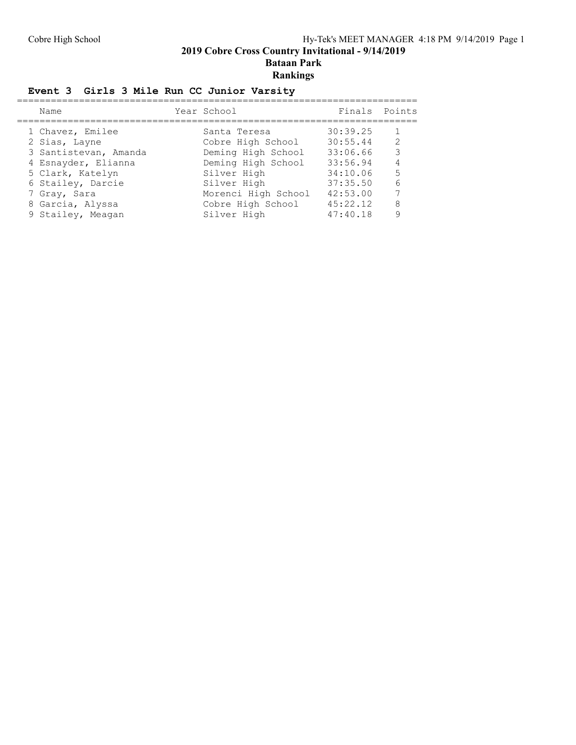**2019 Cobre Cross Country Invitational - 9/14/2019**

**Bataan Park**

## **Rankings**

## **Event 3 Girls 3 Mile Run CC Junior Varsity**

| Name                  | Year School         | Finals Points |   |
|-----------------------|---------------------|---------------|---|
| 1 Chavez, Emilee      | Santa Teresa        | 30:39.25      |   |
| 2 Sias, Layne         | Cobre High School   | 30:55.44      | 2 |
| 3 Santistevan, Amanda | Deming High School  | 33:06.66      | 3 |
| 4 Esnayder, Elianna   | Deming High School  | 33:56.94      | 4 |
| 5 Clark, Katelyn      | Silver High         | 34:10.06      | 5 |
| 6 Stailey, Darcie     | Silver High         | 37:35.50      | 6 |
| 7 Gray, Sara          | Morenci High School | 42:53.00      | 7 |
| 8 Garcia, Alyssa      | Cobre High School   | 45:22.12      | 8 |
| 9 Stailey, Meagan     | Silver High         | 47:40.18      | 9 |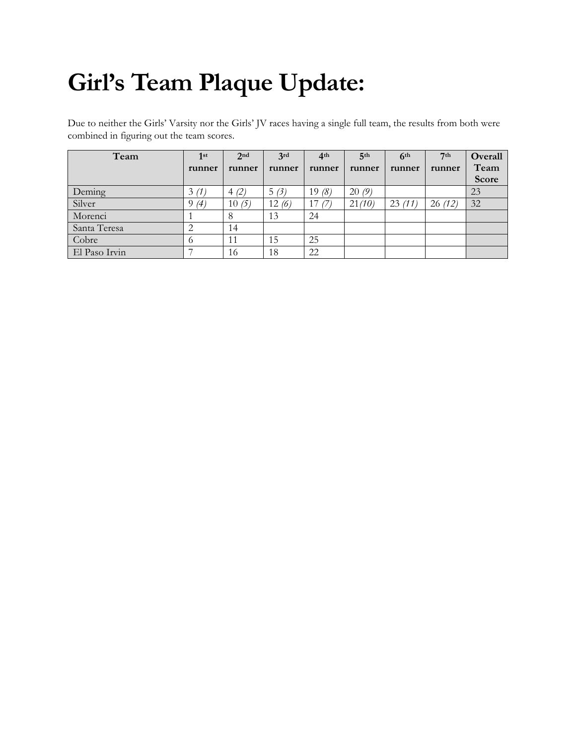# **Girl's Team Plaque Update:**

Due to neither the Girls' Varsity nor the Girls' JV races having a single full team, the results from both were combined in figuring out the team scores.

| Team          | 1st    | 2 <sub>nd</sub> | 3rd    | 4 <sup>th</sup> | 5 <sup>th</sup> | 6 <sup>th</sup> | 7 <sup>th</sup> | Overall |
|---------------|--------|-----------------|--------|-----------------|-----------------|-----------------|-----------------|---------|
|               | runner | runner          | runner | runner          | runner          | runner          | runner          | Team    |
|               |        |                 |        |                 |                 |                 |                 | Score   |
| Deming        | 3(1)   | (4)(2)          | 5(3)   | 19 $(8)$        | 20(9)           |                 |                 | 23      |
| Silver        | 9(4)   | 10(5)           | 12(6)  | 17(7)           | 21(10)          | 23(11)          | 26(12)          | 32      |
| Morenci       |        | 8               | 13     | 24              |                 |                 |                 |         |
| Santa Teresa  |        | 14              |        |                 |                 |                 |                 |         |
| Cobre         |        | 11              | 15     | 25              |                 |                 |                 |         |
| El Paso Irvin |        | 16              | 18     | 22              |                 |                 |                 |         |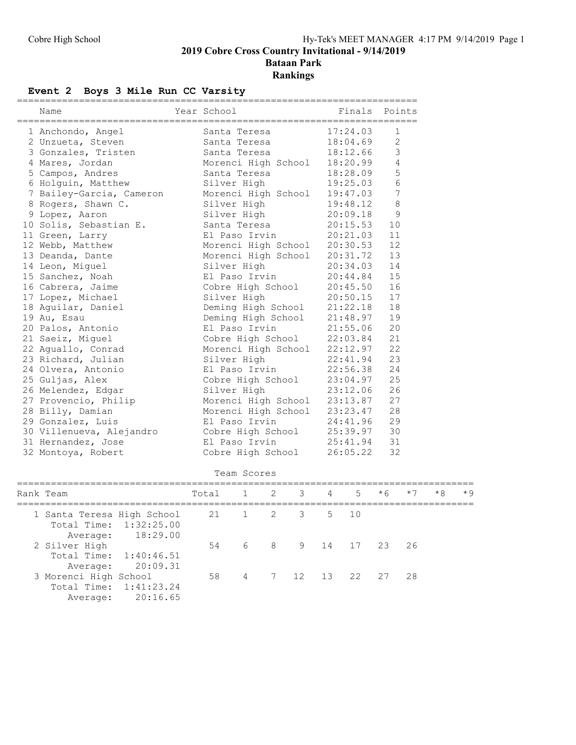#### Event 2 Boys 3 Mile Run CC Varsity

| Name                       | Year School |                                                                                                      |                       |             |           | Finals                            | Points         |      |      |           |
|----------------------------|-------------|------------------------------------------------------------------------------------------------------|-----------------------|-------------|-----------|-----------------------------------|----------------|------|------|-----------|
| 1 Anchondo, Angel          |             | Santa Teresa                                                                                         |                       |             |           | 17:24.03                          | 1              |      |      |           |
| 2 Unzueta, Steven          |             | Santa Teresa                                                                                         |                       |             |           | 18:04.69                          | 2              |      |      |           |
| 3 Gonzales, Tristen        |             | Santa Teresa                                                                                         |                       |             |           | 18:12.66                          | 3              |      |      |           |
| 4 Mares, Jordan            |             | Morenci High School                                                                                  |                       |             |           | 18:20.99                          | 4              |      |      |           |
| 5 Campos, Andres           |             | Santa Teresa                                                                                         |                       |             |           | 18:28.09                          | 5              |      |      |           |
| 6 Holguin, Matthew         |             | Silver High                                                                                          |                       |             |           | 19:25.03                          | 6              |      |      |           |
| 7 Bailey-Garcia, Cameron   |             | Morenci High School 19:47.03                                                                         |                       |             |           |                                   | 7              |      |      |           |
| 8 Rogers, Shawn C.         |             | Silver High                                                                                          |                       |             |           | 19:48.12                          | 8              |      |      |           |
| 9 Lopez, Aaron             |             | Silver High                                                                                          |                       |             |           | 20:09.18                          | 9              |      |      |           |
| 10 Solis, Sebastian E.     |             | Santa Teresa                                                                                         |                       |             |           | 20:15.53                          | 10             |      |      |           |
| 11 Green, Larry            |             | El Paso Irvin                                                                                        |                       |             |           | 20:21.03                          | 11             |      |      |           |
| 12 Webb, Matthew           |             | Morenci High School                                                                                  |                       |             |           | 20:30.53                          | 12             |      |      |           |
| 13 Deanda, Dante           |             | Morenci High School                                                                                  |                       |             |           | 20:31.72                          | 13             |      |      |           |
| 14 Leon, Miguel            |             | Silver High                                                                                          |                       |             |           | 20:34.03                          | 14             |      |      |           |
| 15 Sanchez, Noah           |             | El Paso Irvin                                                                                        |                       |             |           | 20:44.84                          | 15             |      |      |           |
| 16 Cabrera, Jaime          |             | Cobre High School                                                                                    |                       |             |           | 20:45.50                          | 16             |      |      |           |
| 17 Lopez, Michael          |             | Silver High                                                                                          |                       |             |           | 20:50.15                          | 17             |      |      |           |
| 18 Aguilar, Daniel         |             |                                                                                                      |                       |             |           |                                   | 18             |      |      |           |
| 19 Au, Esau                |             |                                                                                                      |                       |             |           |                                   | 19             |      |      |           |
| 20 Palos, Antonio          |             | Silver $n_{1}y_{1}$<br>Deming High School 21:22.10<br>$\cdots \sim$ School 21:48.97<br>El Paso Irvin |                       |             |           |                                   | 20<br>21:55.06 |      |      |           |
| 21 Saeiz, Miguel           |             | Cobre High School                                                                                    |                       |             |           | 22:03.84                          | 21             |      |      |           |
| 22 Aguallo, Conrad         |             | Morenci High School                                                                                  |                       |             |           |                                   | 22<br>22:12.97 |      |      |           |
| 23 Richard, Julian         |             | Silver High                                                                                          |                       |             |           |                                   | 23<br>22:41.94 |      |      |           |
| 24 Olvera, Antonio         |             | El Paso Irvin                                                                                        |                       |             |           |                                   | 22:56.38<br>24 |      |      |           |
| 25 Guljas, Alex            |             | Cobre High School                                                                                    |                       |             |           | 23:04.97                          | 25             |      |      |           |
| 26 Melendez, Edgar         |             | Silver High                                                                                          |                       |             |           | 23:12.06                          | 26             |      |      |           |
| 27 Provencio, Philip       |             | Morenci High School                                                                                  |                       |             |           | 23:13.87                          | 27             |      |      |           |
| 28 Billy, Damian           |             | Morenci High School 23:23.47                                                                         |                       |             |           |                                   | 28             |      |      |           |
| 29 Gonzalez, Luis          |             | El Paso Irvin                                                                                        |                       |             |           | 24:41.96                          | 29             |      |      |           |
| 30 Villenueva, Alejandro   |             | Cobre High School                                                                                    |                       |             |           | 25:39.97                          | 30             |      |      |           |
| 31 Hernandez, Jose         |             | El Paso Irvin                                                                                        |                       |             |           | 25:41.94                          | 31             |      |      |           |
| 32 Montoya, Robert         |             | Cobre High School                                                                                    |                       |             |           | 26:05.22                          | 32             |      |      |           |
|                            |             | Team Scores                                                                                          |                       |             |           |                                   |                |      |      |           |
| Rank Team                  | Total       | $\mathbf{1}$                                                                                         | 2                     | $3^{\circ}$ | $4 \quad$ | 5                                 | $*6$           | $*7$ | $*8$ | $\star$ 9 |
| 1 Santa Teresa High School | 21          | $1 \quad \blacksquare$                                                                               | $\mathbf{2}^{\prime}$ | 3           | 5         | ===========================<br>10 |                |      |      |           |
| Total Time:<br>1:32:25.00  |             |                                                                                                      |                       |             |           |                                   |                |      |      |           |
| 18:29.00<br>Average:       |             |                                                                                                      |                       |             |           |                                   |                |      |      |           |
| 2 Silver High              | 54          | 6                                                                                                    | 8                     | 9           | 14        | 17                                | 23             | 26   |      |           |
| Total Time:<br>1:40:46.51  |             |                                                                                                      |                       |             |           |                                   |                |      |      |           |
| 20:09.31<br>Average:       |             |                                                                                                      |                       |             |           |                                   |                |      |      |           |

3 Morenci High School 58 4 7 12 13 22 27 28

 Total Time: 1:41:23.24 Average: 20:16.65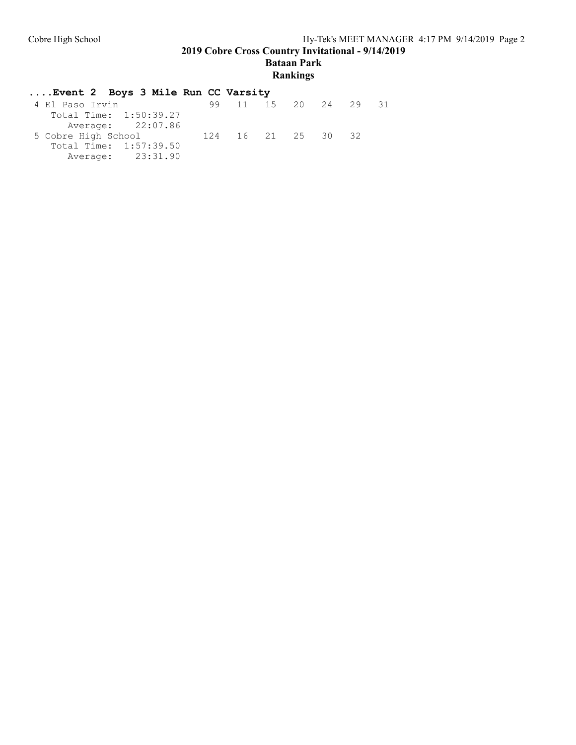**2019 Cobre Cross Country Invitational - 9/14/2019**

**Bataan Park**

#### **Rankings**

#### **....Event 2 Boys 3 Mile Run CC Varsity** 4 El Paso Irvin 99 11 15 20 24 29 31 Total Time: 1:50:39.27 Average: 22:07.86<br>5 Cobre High School 5 Cobre High School 124 16 21 25 30 32 Total Time: 1:57:39.50 Average: 23:31.90